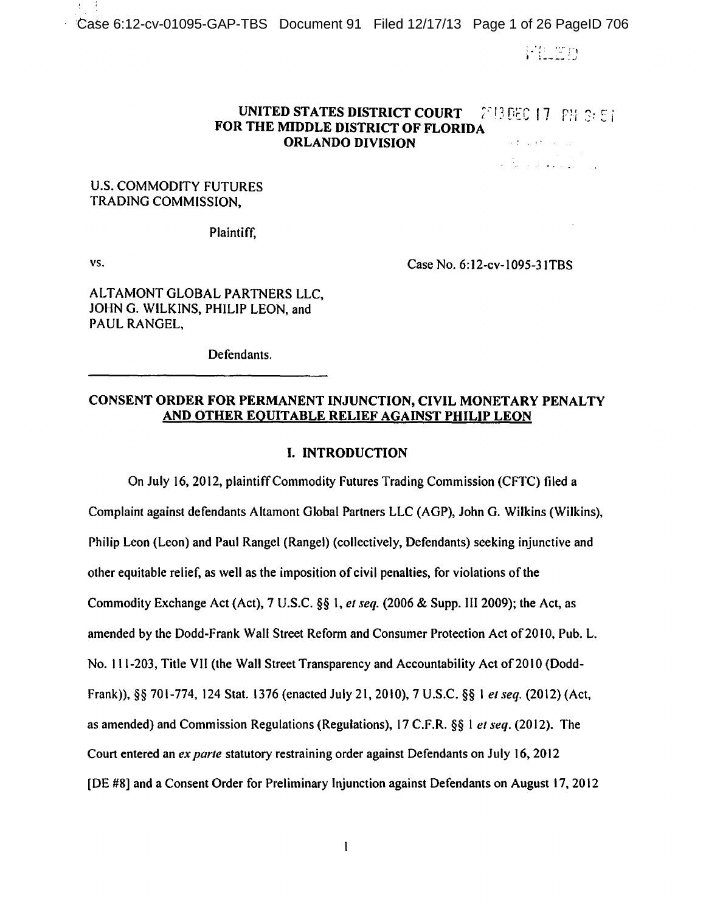Case 6:12-cv-01095-GAP-TBS Document 91 Filed 12/17/13 Page 1 of 26 PageID 706

针孔固身

والمتحافظ والمحافظ والمتألف

# UNITED STATES DISTRICT COURT  $\left[2613,00001, 17,001, 39,5\right]$ FOR THE MIDDLE DISTRICT OF FLORIDA ORLANDO DIVISION · · ·

U.S. COMMODITY FUTURES TRADING COMMISSION,

Plaintiff,

vs.

Case No. 6:12-cv-1095-31TBS

ALTAMONT GLOBAL PARTNERS LLC, JOHN G. WILKINS, PHILIP LEON, and PAUL RANGEL,

Defendants.

# CONSENT ORDER FOR PERMANENT INJUNCTION, CIVIL MONETARY PENALTY AND OTHER EQUITABLE RELIEF AGAINST PHILIP LEON

## I. INTRODUCTION

On July 16, 2012, plaintiffCommodity Futures Trading Commission (CFTC) filed a Complaint against defendants Altamont Global Partners LLC (AGP), John G. Wilkins (Wilkins), Philip Leon (Leon) and Paul Rangel (Rangel) (collectively, Defendants) seeking injunctive and other equitable relief, as well as the imposition of civil penalties, for violations ofthe Commodity Exchange Act (Act), 7 U.S.C. §§ 1, *et seq.* (2006 & Supp. III 2009); the Act, as amended by the Dodd-Frank Wall Street Reform and Consumer Protection Act of 2010, Pub. L. No. 111-203, Title VII (the Wall Street Transparency and Accountability Act of 2010 (Dodd-Frank)),§§ 701-774, 124 Stat. 1376 (enacted July 21, 2010), 7 U.S.C. §§I *et seq.* (2012) (Act, as amended) and Commission Regulations (Regulations), 17 C.F.R. §§ 1 *et seq.* (20 12). The Court entered an *ex parte* statutory restraining order against Defendants on July 16, 2012 [DE #8] and a Consent Order for Preliminary Injunction against Defendants on August 17,2012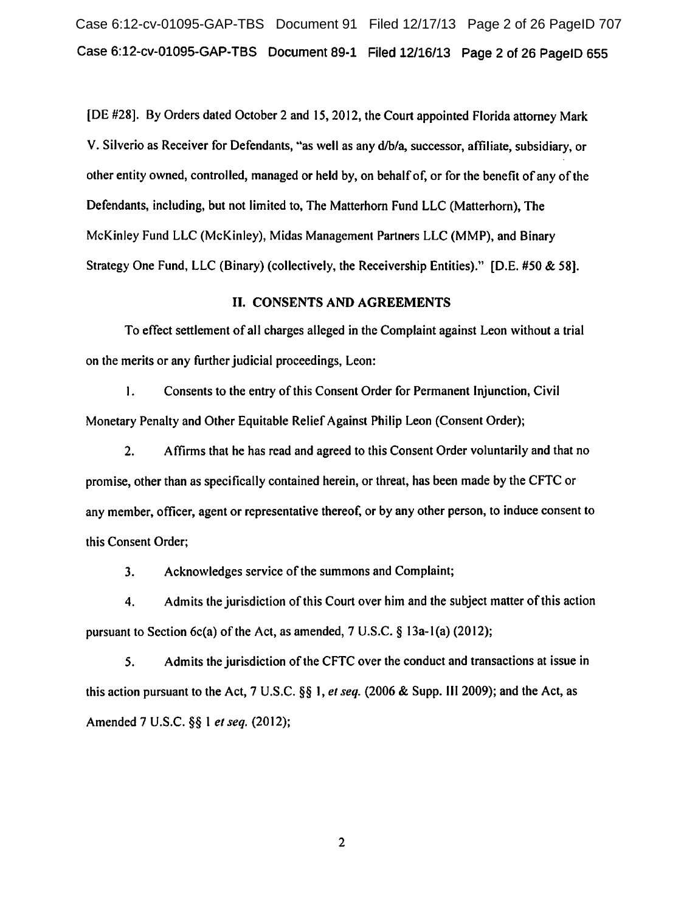Case 6:12-cv-01095-GAP-TBS Document 91 Filed 12/17/13 Page 2 of 26 PageID 707 Case 6:12-cv-01095-GAP-TBS Document 89-1 Filed 12/16/13 Page 2 of 26 PageJD 655

[DE #28]. By Orders dated October 2 and 15, 2012, the Court appointed Florida attorney Mark V. Silverio as Receiver for Defendants, "as well as any d/b/a, successor, affiliate, subsidiary, or other entity owned, controlled, managed or held by, on behalf of, or for the benefit of any of the Defendants, including, but not limited to, The Matterhorn Fund LLC (Matterhorn), The McKinley Fund LLC (McKinley), Midas Management Partners LLC (MMP), and Binary Strategy One Fund, LLC (Binary) (collectively, the Receivership Entities)." (D.E. #50 & 58].

## II. CONSENTS AND AGREEMENTS

To effect settlement of all charges alleged in the Complaint against Leon without a trial on the merits or any further judicial proceedings, Leon:

I. Consents to the entry of this Consent Order for Permanent Injunction, Civil Monetary Penalty and Other Equitable Relief Against Philip Leon (Consent Order);

2. Affirms that he has read and agreed to this Consent Order voluntarily and that no promise, other than as specifically contained herein, or threat, has been made by the CFTC or any member, officer, agent or representative thereof, or by any other person, to induce consent to this Consent Order;

3. Acknowledges service of the summons and Complaint;

4. Admits the jurisdiction of this Court over him and the subject matter of this action pursuant to Section 6c(a) of the Act, as amended, 7 U.S.C. § 13a-1(a) (2012);

*5.* Admits the jurisdiction of the CFTC over the conduct and transactions at issue in this action pursuant to the Act, 7 U.S.C. §§ I, *et seq.* (2006 & Supp. 1112009); and the Act, as Amended 7 U.S.C. §§ 1 *et seq.* (2012);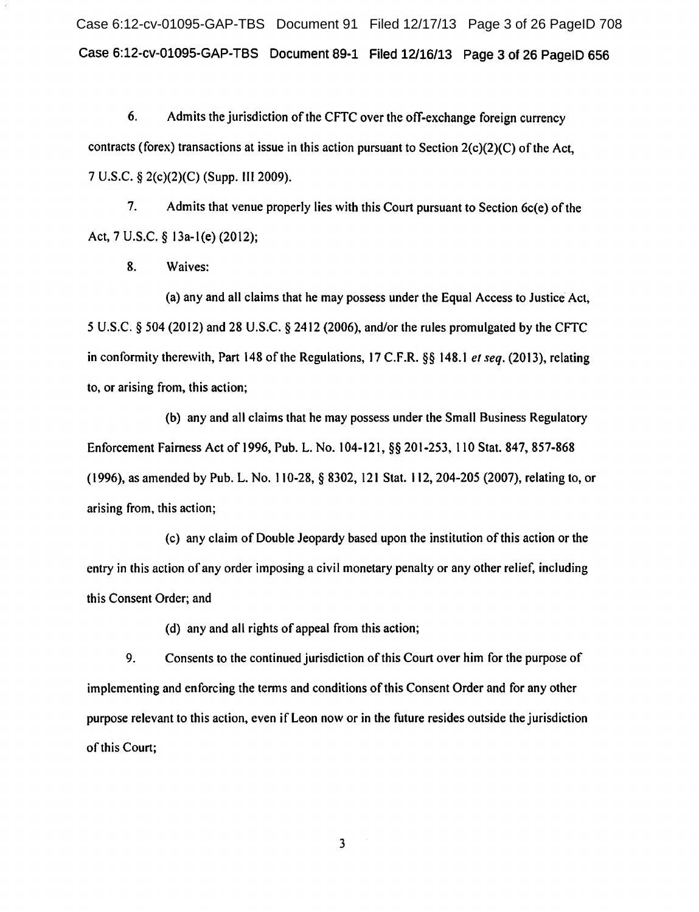Case 6:12-cv-01095-GAP-TBS Document 91 Filed 12/17/13 Page 3 of 26 PageID 708 Case 6:12-cv-01095-GAP-TBS Document 89-1 Filed 12/16/13 Page 3 of 26 PageiD 656

6. Admits the jurisdiction of the CFTC over the off-exchange foreign currency contracts (forex) transactions at issue in this action pursuant to Section 2(c)(2)(C) of the Act, 7 U.S.C. § 2(c)(2)(C) (Supp. Ill 2009).

7. Admits that venue properly lies with this Court pursuant to Section 6c(e) of the Act, 7 U.S.C. § 13a-l(e) (2012);

8. Waives:

(a) any and all claims that he may possess under the Equal Access to Justice Act, 5 U.S.C. § 504 (2012) and 28 U.S.C. § 2412 (2006), and/or the rules promulgated by the CFTC in conformity therewith, Part 148 of the Regulations, 17 C.F.R. §§ 148.1 *et seq.* (2013), relating to, or arising from, this action;

(b) any and all claims that he may possess under the Small Business Regulatory Enforcement Fairness Act of 1996, Pub. L. No. 104-121, §§ 201-253, 110 Stat. 847, 857-868 ( 1996), as amended by Pub. L. No. 110-28, § 8302, 121 Stat. 112, 204-205 (2007), relating to, or arising from, this action;

(c) any claim of Double Jeopardy based upon the institution of this action or the entry in this action of any order imposing a civil monetary penalty or any other relief, including this Consent Order; and

(d) any and all rights of appeal from this action;

9. Consents to the continued jurisdiction of this Court over him for the purpose of implementing and enforcing the terms and conditions of this Consent Order and for any other purpose relevant to this action, even if Leon now or in the future resides outside the jurisdiction of this Court;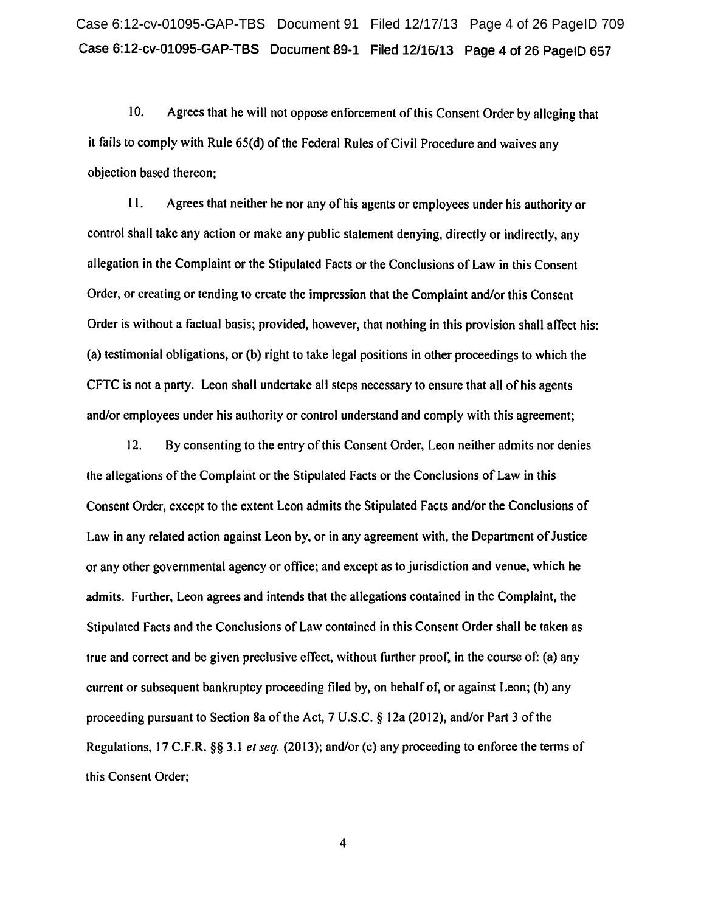10. Agrees that he will not oppose enforcement of this Consent Order by alleging that it fails to comply with Rule 65(d) of the Federal Rules of Civil Procedure and waives any objection based thereon;

11. Agrees that neither he nor any of his agents or employees under his authority or control shall take any action or make any public statement denying, directly or indirectly, any allegation in the Complaint or the Stipulated Facts or the Conclusions of Law in this Consent Order, or creating or tending to create the impression that the Complaint and/or this Consent Order is without a factual basis; provided, however, that nothing in this provision shall affect his: (a) testimonial obligations, or (b) right to take legal positions in other proceedings to which the CFTC is not a party. Leon shall undertake all steps necessary to ensure that all of his agents and/or employees under his authority or control understand and comply with this agreement;

12. By consenting to the entry of this Consent Order, Leon neither admits nor denies the allegations of the Complaint or the Stipulated Facts or the Conclusions of Law in this Consent Order, except to the extent Leon admits the Stipulated Facts and/or the Conclusions of Law in any related action against Leon by, or in any agreement with, the Department of Justice or any other governmental agency or office; and except as to jurisdiction and venue, which he admits. Further, Leon agrees and intends that the allegations contained in the Complaint, the Stipulated Facts and the Conclusions of Law contained in this Consent Order shall be taken as true and correct and be given preclusive effect, without further proof, in the course of: (a) any current or subsequent bankruptcy proceeding filed by, on behalf of, or against Leon; (b) any proceeding pursuant to Section Sa of the Act, 7 U.S.C. § 12a (2012), and/or Part 3 ofthe Regulations, 17 C.F.R. §§ 3.1 *et seq.* (20 13); and/or (c) any proceeding to enforce the terms of this Consent Order;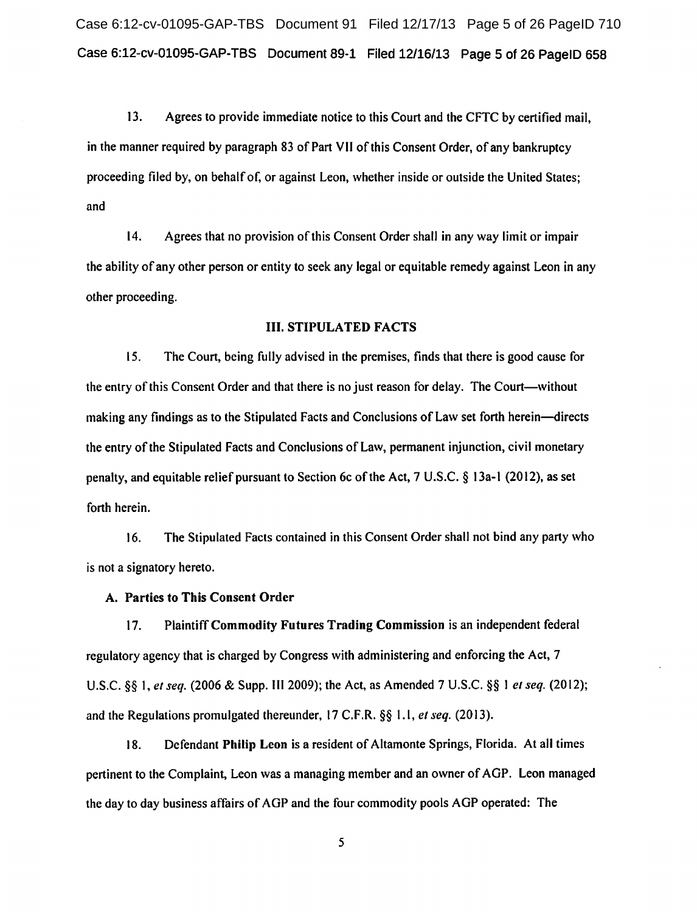Case 6:12-cv-01095-GAP-TBS Document 91 Filed 12/17/13 Page 5 of 26 PageID 710 Case 6:12-cv-01095-GAP-TBS Document 89-1 Filed 12/16/13 Page 5 of 26 PageiD 658

13. Agrees to provide immediate notice to this Court and the CFTC by certified mail, in the manner required by paragraph 83 of Part VII of this Consent Order, of any bankruptcy proceeding filed by, on behalf of, or against Leon, whether inside or outside the United States; and

14. Agrees that no provision of this Consent Order shall in any way limit or impair the ability of any other person or entity to seek any legal or equitable remedy against Leon in any other proceeding.

#### III. STIPULATED FACTS

15. The Court, being fully advised in the premises, finds that there is good cause for the entry of this Consent Order and that there is no just reason for delay. The Court-without making any findings as to the Stipulated Facts and Conclusions of Law set forth herein-directs the entry of the Stipulated Facts and Conclusions of Law, permanent injunction, civil monetary penalty, and equitable relief pursuant to Section 6c ofthe Act, 7 U.S.C. § 13a-l (2012), as set forth herein.

16. The Stipulated Facts contained in this Consent Order shall not bind any party who is not a signatory hereto.

# A. Parties to This Consent Order

17. Plaintiff Commodity Futures Trading Commission is an independent federal regulatory agency that is charged by Congress with administering and enforcing the Act, 7 U.S.C. §§ 1, *et seq.* (2006 & Supp. 1112009); the Act, as Amended 7 U.S.C. §§ I *et seq.* (2012); and the Regulations promulgated thereunder, 17 C.F.R. §§ 1.1, *et seq.* (2013).

18. Defendant Philip Leon is a resident of Altamonte Springs, Florida. At all times pertinent to the Complaint, Leon was a managing member and an owner of AGP. Leon managed the day to day business affairs of AGP and the four commodity pools AGP operated: The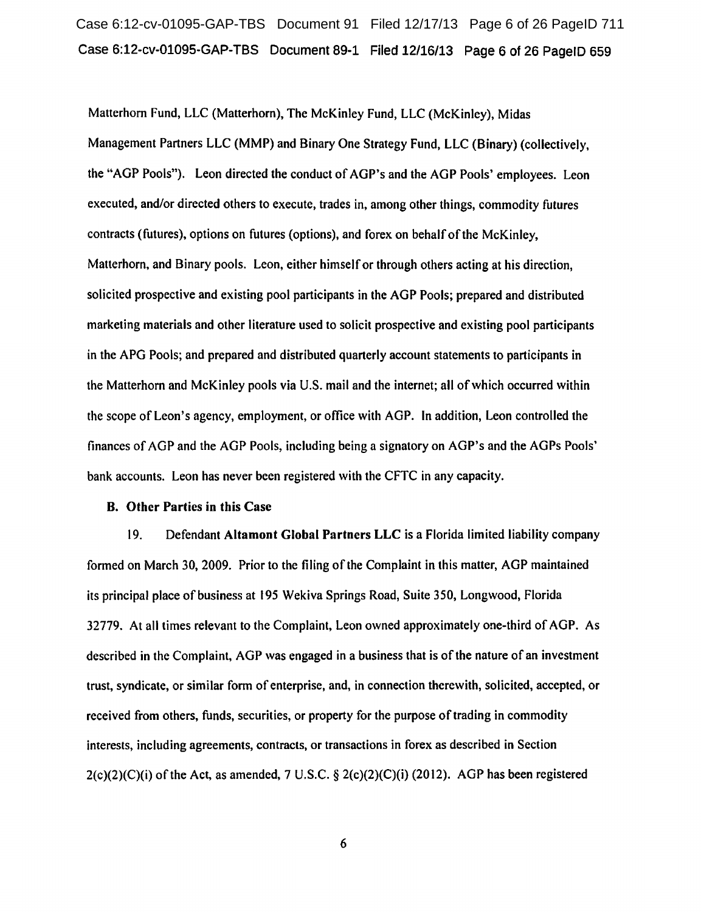# Case 6:12-cv-01095-GAP-TBS Document 91 Filed 12/17/13 Page 6 of 26 PageID 711 Case 6:12-cv-01095-GAP-TBS Document 89-1 Filed 12/16/13 Page 6 of 26 PageiD 659

Matterhorn Fund, LLC (Matterhorn), The McKinley Fund, LLC (McKinley), Midas Management Partners LLC (MMP) and Binary One Strategy Fund, LLC (Binary) (collectively, the "AGP Pools"). Leon directed the conduct of AGP's and the AGP Pools' employees. Leon executed, and/or directed others to execute, trades in, among other things, commodity futures contracts (futures), options on futures (options), and forex on behalf of the McKinley, Matterhorn, and Binary pools. Leon, either himself or through others acting at his direction, solicited prospective and existing pool participants in the AGP Pools; prepared and distributed marketing materials and other literature used to solicit prospective and existing pool participants in the APG Pools; and prepared and distributed quarterly account statements to participants in the Matterhorn and McKinley pools via U.S. mail and the internet; all ofwhich occurred within the scope of Leon's agency, employment, or office with AGP. In addition, Leon controlled the finances of AGP and the AGP Pools, including being a signatory on AGP's and the AGPs Pools' bank accounts. Leon has never been registered with the CFTC in any capacity.

#### B. Other Parties in this Case

19. Defendant Altamont Global Partners LLC is a Florida limited liability company formed on March 30, 2009. Prior to the filing of the Complaint in this matter, AGP maintained its principal place of business at 195 Wekiva Springs Road, Suite 350, Longwood, Florida 32779. At all times relevant to the Complaint, Leon owned approximately one-third of AGP. As described in the Complaint, AGP was engaged in a business that is of the nature of an investment trust, syndicate, or similar form of enterprise, and, in connection therewith, solicited, accepted, or received from others, funds, securities, or property for the purpose of trading in commodity interests, including agreements, contracts, or transactions in forex as described in Section  $2(c)(2)(C)(i)$  of the Act, as amended, 7 U.S.C. §  $2(c)(2)(C)(i)$  (2012). AGP has been registered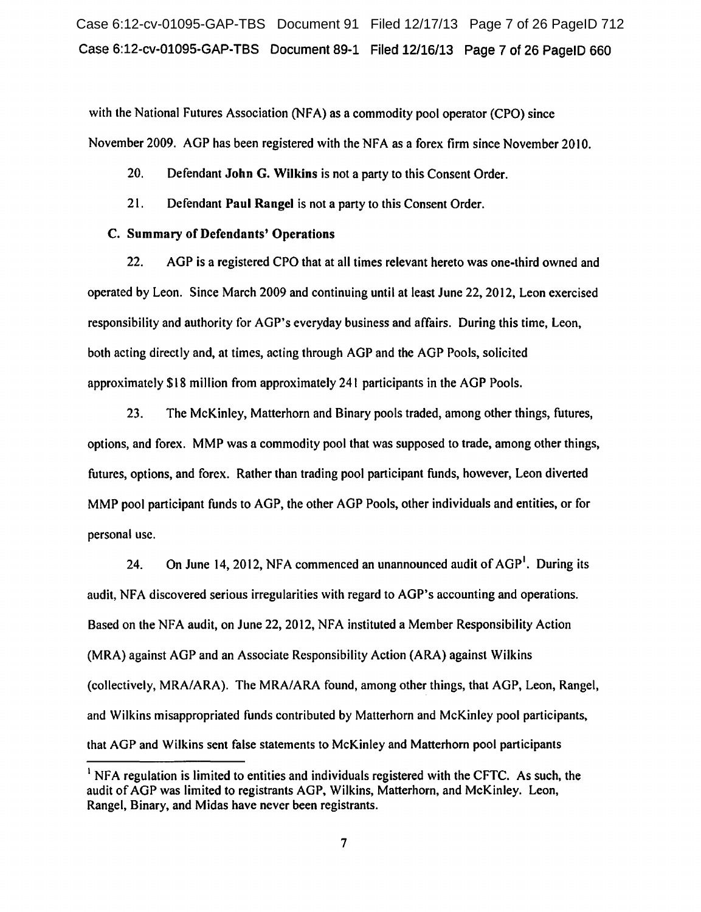Case 6:12-cv-01095-GAP-TBS Document 91 Filed 12/17/13 Page 7 of 26 PageID 712 Case 6:12-cv-01095-GAP-TBS Document 89-1 Filed 12/16/13 Page 7 of 26 PageiD 660

with the National Futures Association (NFA) as a commodity pool operator (CPO) since November 2009. AGP has been registered with the NFA as a forex firm since November 2010.

20. Defendant John G. Wilkins is not a party to this Consent Order.

21. Defendant Paul Rangel is not a party to this Consent Order.

# C. Summary of Defendants' Operations

22. AGP is a registered CPO that at all times relevant hereto was one-third owned and operated by Leon. Since March 2009 and continuing until at least June 22, 2012, Leon exercised responsibility and authority tor AGP's everyday business and affairs. During this time, Leon, both acting directly and, at times, acting through AGP and the AGP Pools, solicited approximately \$18 million from approximately 241 participants in the AGP Pools.

23. The McKinley, Matterhorn and Binary pools traded, among other things, futures, options, and forex. MMP was a commodity pool that was supposed to trade, among other things, futures, options, and forex. Rather than trading pool participant funds, however, Leon diverted MMP pool participant funds to AGP, the other AGP Pools, other individuals and entities, or for personal use.

24. On June 14, 2012, NFA commenced an unannounced audit of AGP<sup>1</sup>. During its audit, NFA discovered serious irregularities with regard to AGP's accounting and operations. Based on the NFA audit, on June 22, 2012, NFA instituted a Member Responsibility Action (MRA) against AGP and an Associate Responsibility Action (ARA) against Wilkins (collectively, MRA/ARA). The MRA/ARA found, among other things, that AGP, Leon, Rangel, and Wilkins misappropriated funds contributed by Matterhorn and McKinley pool participants, that AGP and Wilkins sent false statements to McKinley and Matterhorn pool participants

<sup>&</sup>lt;sup>1</sup> NFA regulation is limited to entities and individuals registered with the CFTC. As such, the audit of AGP was limited to registrants AGP, Wilkins, Matterhorn, and McKinley. Leon, Rangel, Binary, and Midas have never been registrants.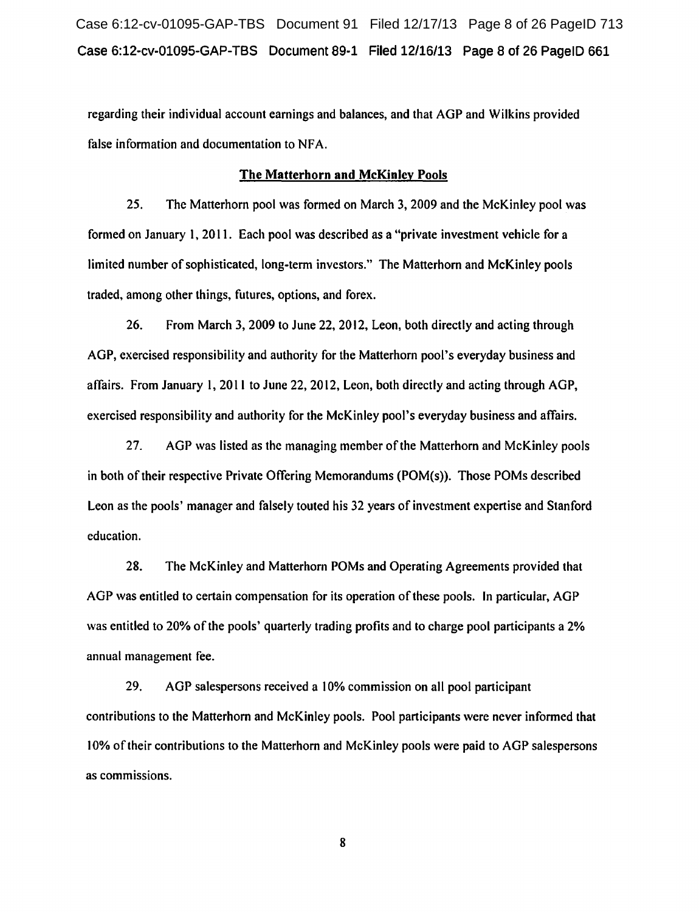Case 6:12-cv-01095-GAP-TBS Document 91 Filed 12/17/13 Page 8 of 26 PageID 713 Case 6:12-cv-01095-GAP-TBS Document 89-1 Filed 12/16/13 Page 8 of 26 PageiD 661

regarding their individual account earnings and balances. and that AGP and Wilkins provided false information and documentation to NFA.

# The Matterhorn and McKinley Pools

25. The Matterhorn pool was formed on March 3, 2009 and the McKinley pool was formed on January 1, 2011. Each pool was described as a "private investment vehicle for a limited number of sophisticated, long-term investors." The Matterhorn and McKinley pools traded, among other things, futures, options, and forex.

26. From March 3, 2009 to June 22, 2012, Leon, both directly and acting through AGP, exercised responsibility and authority for the Matterhorn pool's everyday business and affairs. From January l, 2011 to June 22, 2012, Leon, both directly and acting through AGP, exercised responsibility and authority for the McKinley pool's everyday business and affairs.

27. AGP was listed as the managing member of the Matterhorn and McKinley pools in both of their respective Private Offering Memorandums (POM(s)). Those POMs described Leon as the pools' manager and falsely touted his 32 years of investment expertise and Stanford education.

28. The McKinley and Matterhorn POMs and Operating Agreements provided that AGP was entitled to certain compensation for its operation of these pools. In particular, AGP was entitled to 20% of the pools' quarterly trading profits and to charge pool participants a 2% annual management fee.

29. AGP salespersons received a 10% commission on all pool participant contributions to the Matterhorn and McKinley pools. Pool participants were never informed that 10% oftheir contributions to the Matterhorn and McKinley pools were paid to AGP salespersons as commissions.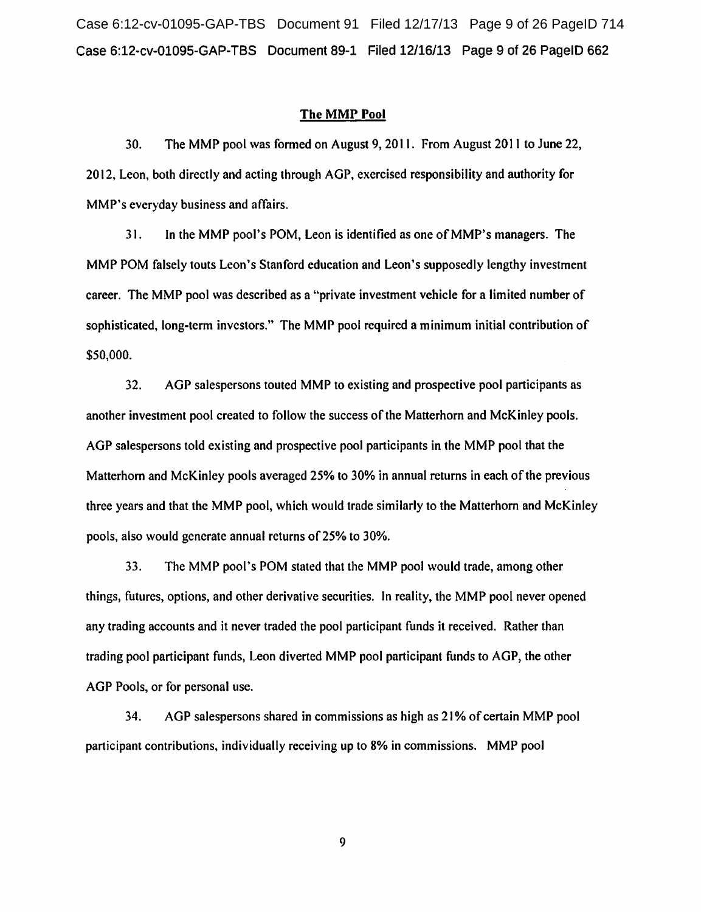Case 6:12-cv-01095-GAP-TBS Document 91 Filed 12/17/13 Page 9 of 26 PageID 714 Case 6:12-cv-01095-GAP-TBS Document 89-1 Filed 12/16/13 Page 9 of 26 PageiD 662

#### The MMP Pool

30. The MMP pool was formed on August 9, 2011. From August 2011 to June 22, 2012, Leon, both directly and acting through AGP, exercised responsibility and authority for MMP's everyday business and affairs.

31. In the MMP pool's POM, Leon is identified as one of MMP's managers. The MMP POM falsely touts Leon's Stanford education and Leon's supposedly lengthy investment career. The MMP pool was described as a "private investment vehicle for a limited number of sophisticated, long-term investors." The MMP pool required a minimum initial contribution of \$50,000.

32. AGP salespersons touted MMP to existing and prospective pool participants as another investment pool created to follow the success of the Matterhorn and McKinley pools. AGP salespersons told existing and prospective pool participants in the MMP pool that the Matterhorn and McKinley pools averaged 25% to 30% in annual returns in each of the previous three years and that the MMP pool, which would trade similarly to the Matterhorn and McKinley pools, also would generate annual returns of25% to 30%.

33. The MMP pool's POM stated that the MMP pool would trade, among other things, futures, options, and other derivative securities. In reality, the MMP pool never opened any trading accounts and it never traded the pool participant funds it received. Rather than trading pool participant funds, Leon diverted MMP pool participant funds to AGP, the other AGP Pools, or for personal use.

34. AGP salespersons shared in commissions as high as 2I% of certain MMP pool participant contributions, individually receiving up to 8% in commissions. MMP pool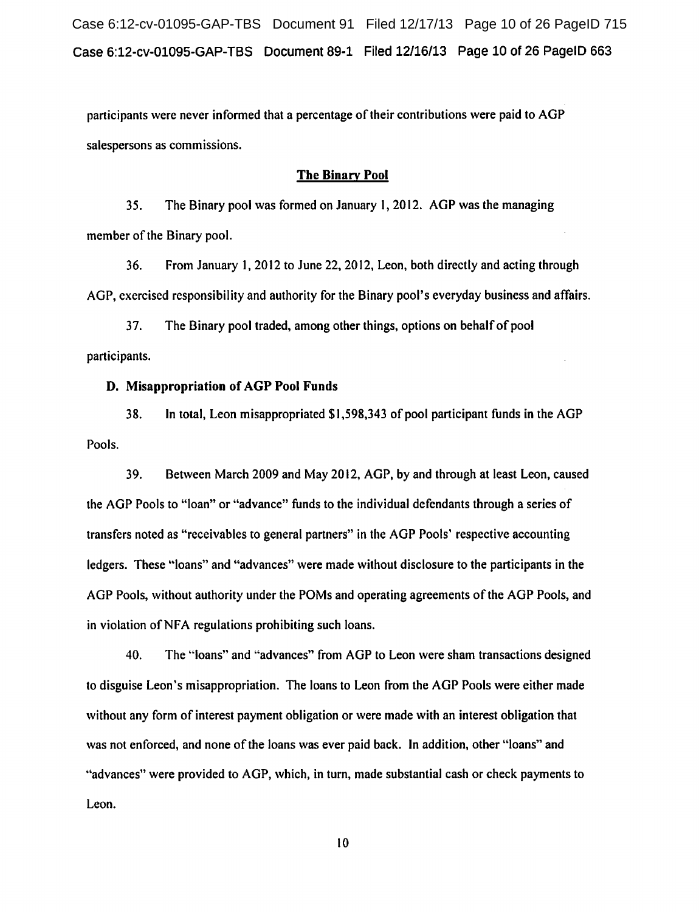Case 6:12-cv-01095-GAP-TBS Document 91 Filed 12/17/13 Page 10 of 26 PageID 715 case 6:12-cv-01095-GAP-TBS Document 89-1 Filed 12/16/13 Page 10 of 26 PageiD 663

participants were never informed that a percentage of their contributions were paid to AGP salespersons as commissions.

## The Binary Pool

35. The Binary pool was formed on January I, 2012. AGP was the managing member of the Binary pool.

36. From January 1, 2012 to June 22, 2012, Leon, both directly and acting through AGP, exercised responsibility and authority for the Binary pool's everyday business and affairs.

3 7. The Binary pool traded, among other things, options on behalf of pool participants.

## D. Misappropriation of AGP Pool Funds

38. In total, Leon misappropriated \$1,598,343 of pool participant funds in the AGP Pools.

39. Between March 2009 and May 2012, AGP, by and through at least Leon, caused the AGP Pools to "loan" or "advance" funds to the individual defendants through a series of transfers noted as "receivables to general partners" in the AGP Pools' respective accounting ledgers. These ''loans" and "advances" were made without disclosure to the participants in the AGP Pools, without authority under the POMs and operating agreements of the AGP Pools, and in violation of NFA regulations prohibiting such loans.

40. The "loans" and "advances" from AGP to Leon were sham transactions designed to disguise Leon's misappropriation. The loans to Leon from the AGP Pools were either made without any form of interest payment obligation or were made with an interest obligation that was not enforced, and none of the loans was ever paid back. In addition, other "loans" and "advances" were provided to AGP, which, in turn, made substantial cash or check payments to Leon.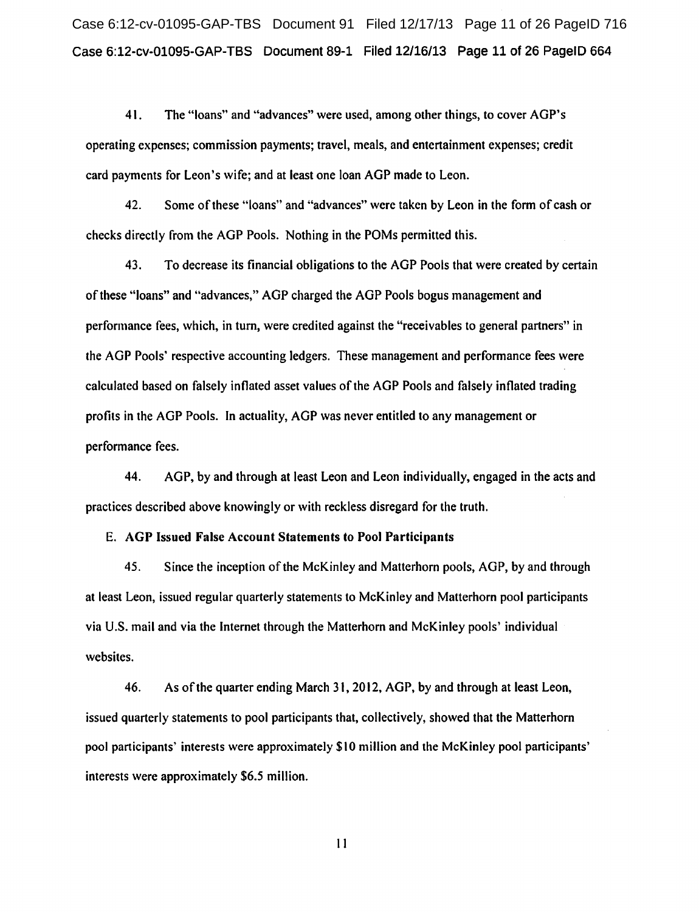Case 6:12-cv-01095-GAP-TBS Document 91 Filed 12/17/13 Page 11 of 26 PageID 716 Case 6:12-cv-01095-GAP-TBS Document 89-1 Filed 12/16/13 Page 11 of 26 PageiD 664

4 I. The "loans" and "advances" were used, among other things, to cover AGP's operating expenses; commission payments; travel, meals, and entertainment expenses; credit card payments for Leon's wife; and at least one loan AGP made to Leon.

42. Some of these "loans" and "advances" were taken by Leon in the form of cash or checks directly from the AGP Pools. Nothing in the POMs permitted this.

43. To decrease its financial obligations to the AGP Pools that were created by certain of these "loans" and "advances," AGP charged the AGP Pools bogus management and performance fees, which, in turn, were credited against the "receivables to general partners" in the AGP Pools' respective accounting ledgers. These management and performance fees were calculated based on falsely inflated asset values of the AGP Pools and falsely inflated trading profits in the AGP Pools. In actuality, AGP was never entitled to any management or performance fees.

44. AGP, by and through at least Leon and Leon individually, engaged in the acts and practices described above knowingly or with reckless disregard for the truth.

# E. AGP Issued False Account Statements to Pool Participants

45. Since the inception of the McKinley and Matterhorn pools, AGP, by and through at least Leon, issued regular quarterly statements to McKinley and Matterhorn pool participants via U.S. mail and via the Internet through the Matterhorn and McKinley pools' individual websites.

46. As ofthe quarter ending March 3 I, 2012, AGP, by and through at least Leon, issued quarterly statements to pool participants that, collectively, showed that the Matterhorn pool participants' interests were approximately \$10 million and the McKinley pool participants' interests were approximately \$6.5 million.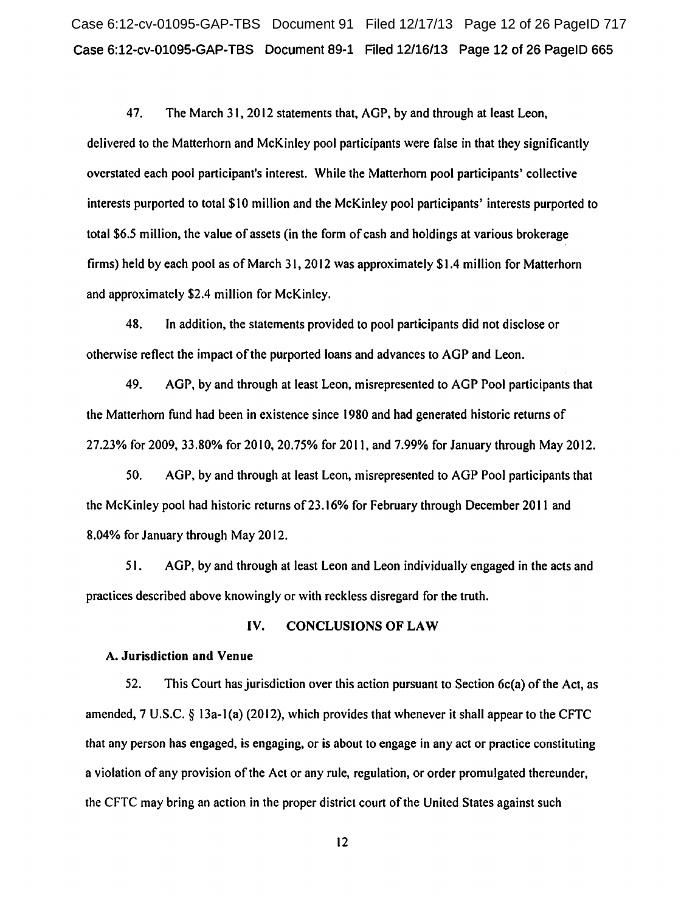Case 6:12-cv-01095-GAP-TBS Document 91 Filed 12/17/13 Page 12 of 26 PageID 717 Case 6:12-cv-01095-GAP-TBS Document 89-1 Filed 12/16/13 Page 12 of 26 PageiD 665

47. The March 31, 2012 statements that, AGP, by and through at least Leon, delivered to the Matterhorn and McKinley pool participants were false in that they significantly overstated each pool participant's interest. While the Matterhorn pool participants' collective interests purported to total \$10 million and the McKinley pool participants' interests purported to total \$6.5 million, the value of assets (in the form of cash and holdings at various brokerage firms) held by each pool as of March 31, 2012 was approximately \$1.4 million for Matterhorn and approximately \$2.4 million for McKinley.

48. In addition, the statements provided to pool participants did not disclose or otherwise reflect the impact of the purported loans and advances to AGP and Leon.

49. AGP, by and through at least Leon, misrepresented to AGP Pool participants that the Matterhorn fund had been in existence since 1980 and had generated historic returns of 27.23% for 2009, 33.80% for 2010,20.75% for 2011, and 7.99% for January through May 2012.

50. AGP, by and through at least Leon, misrepresented to AGP Pool participants that the McKinley pool had historic returns of23.16% for February through December 20 II and 8.04% for January through May 2012.

51. AGP, by and through at least Leon and Leon individually engaged in the acts and practices described above knowingly or with reckless disregard for the truth.

## IV. CONCLUSIONS OF LAW

#### A. Jurisdiction and Venue

52. This Court has jurisdiction over this action pursuant to Section 6c(a) ofthe Act, as amended, 7 U.S.C.  $\S$  13a-1(a) (2012), which provides that whenever it shall appear to the CFTC that any person has engaged, is engaging, or is about to engage in any act or practice constituting a violation of any provision of the Act or any rule, regulation, or order promulgated thereunder, the CFTC may bring an action in the proper district court of the United States against such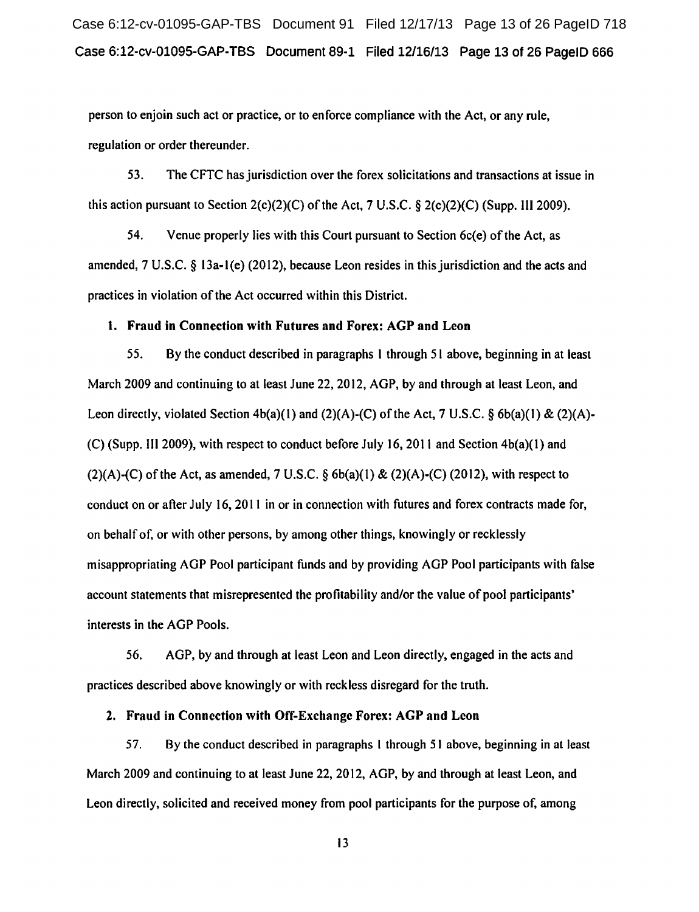Case 6:12-cv-01095-GAP-TBS Document 91 Filed 12/17/13 Page 13 of 26 PageID 718 Case 6:12-cv-01095-GAP-TBS Document 89-1 Filed 12/16/13 Page 13 of 26 PageiD 666

person to enjoin such act or practice, or to enforce compliance with the Act, or any rule, regulation or order thereunder.

53. The CFTC has jurisdiction over the forex solicitations and transactions at issue in this action pursuant to Section 2(c)(2)(C) of the Act, 7 U.S.C. § 2(c)(2)(C) (Supp. III 2009).

54. Venue properly lies with this Court pursuant to Section 6c(e) of the Act, as amended, 7 U.S.C. § 13a-l(e) (2012), because Leon resides in this jurisdiction and the acts and practices in violation of the Act occurred within this District.

## l. Fraud in Connection with Futures and Forex: AGP and Leon

*55.* By the conduct described in paragraphs I through 51 above, beginning in at least March 2009 and continuing to at least June 22, 2012, AGP, by and through at least Leon, and Leon directly, violated Section  $4b(a)(1)$  and  $(2)(A)-(C)$  of the Act, 7 U.S.C. § 6b(a)(1) & (2)(A)-(C) (Supp. III 2009), with respect to conduct before July 16, 2011 and Section 4b(a)(l) and  $(2)(A)-(C)$  of the Act, as amended, 7 U.S.C. § 6b(a)(1) & (2)(A)-(C) (2012), with respect to conduct on or after July 16, 2011 in or in connection with futures and forex contracts made for, on behalf of, or with other persons, by among other things, knowingly or recklessly misappropriating AGP Pool participant funds and by providing AGP Pool participants with false account statements that misrepresented the profitability and/or the value of pool participants' interests in the AGP Pools.

56. AGP, by and through at least Leon and Leon directly, engaged in the acts and practices described above knowingly or with reckless disregard for the truth.

## 2. Fraud in Connection with Off-Exchange Forex: AGP and Leon

57. By the conduct described in paragraphs I through 51 above, beginning in at least March 2009 and continuing to at least June 22, 2012, AGP, by and through at least Leon, and Leon directly, solicited and received money from pool participants for the purpose of, among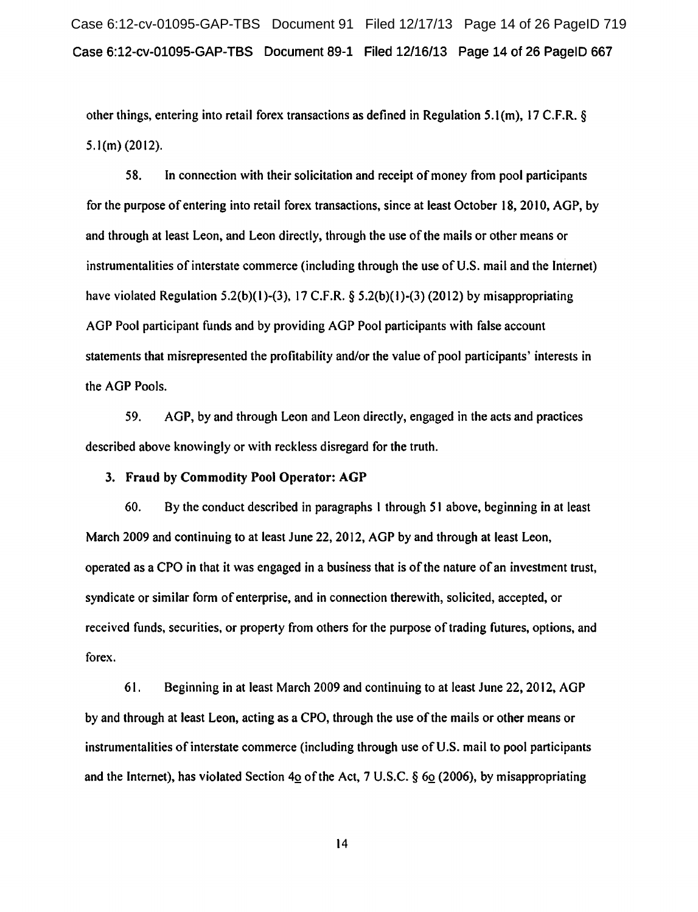Case 6:12-cv-01095-GAP-TBS Document 91 Filed 12/17/13 Page 14 of 26 PageID 719 Case 6:12-cv-01095-GAP-TBS Document 89-1 Filed 12/16/13 Page 14 of 26 PageiD 667

other things, entering into retail forex transactions as defined in Regulation 5.1 (m), 17 C.F.R. §  $5.1$ (m) (2012).

58. In connection with their solicitation and receipt of money from pool participants for the purpose of entering into retail forex transactions, since at least October 18, 2010, AGP, by and through at least Leon, and Leon directly, through the use of the mails or other means or instrumentalities of interstate commerce (including through the use of U.S. mail and the Internet) have violated Regulation 5.2(b)(1)-(3), 17 C.F.R. § 5.2(b)(1)-(3) (2012) by misappropriating AGP Pool participant funds and by providing AGP Pool participants with false account statements that misrepresented the profitability and/or the value of pool participants' interests in the AGP Pools.

59. AGP, by and through Leon and Leon directly, engaged in the acts and practices described above knowingly or with reckless disregard for the truth.

## 3. Fraud by Commodity Pool Operator: AGP

60. By the conduct described in paragraphs I through 51 above, beginning in at least March 2009 and continuing to at least June 22, 2012, AGP by and through at least Leon, operated as a CPO in that it was engaged in a business that is of the nature of an investment trust, syndicate or similar form of enterprise, and in connection therewith, solicited, accepted, or received funds, securities, or property from others for the purpose of trading futures, options, and forex.

61. Beginning in at least March 2009 and continuing to at least June 22, 2012, AGP by and through at least Leon, acting as a CPO, through the use of the mails or other means or instrumentalities of interstate commerce (including through use of U.S. mail to pool participants and the Internet), has violated Section 40 of the Act, 7 U.S.C.  $\S$  60 (2006), by misappropriating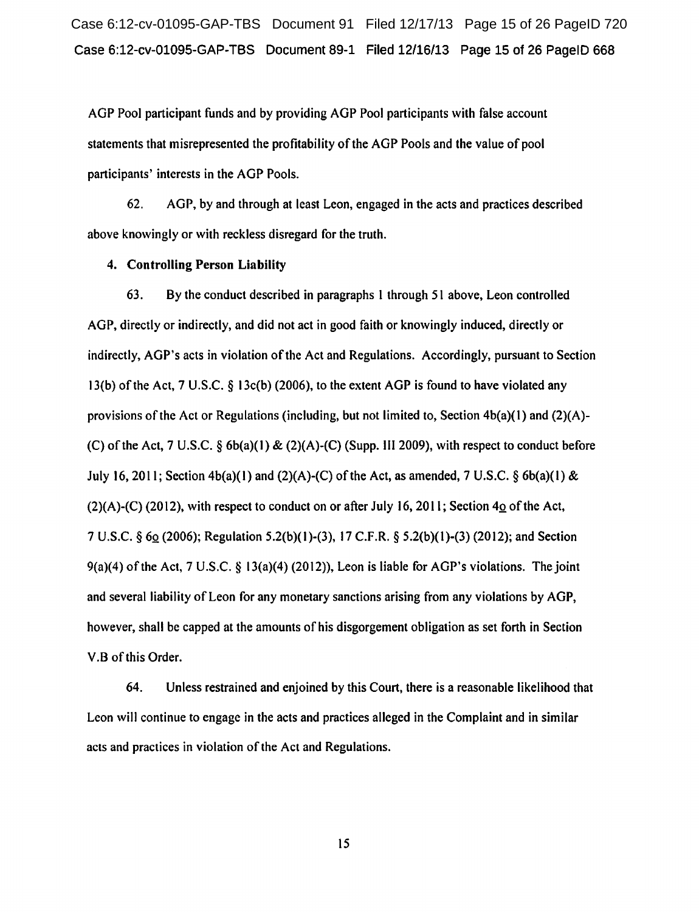Case 6:12-cv-01095-GAP-TBS Document 91 Filed 12/17/13 Page 15 of 26 PageID 720 Case 6:12-cv-01095-GAP-TBS Document 89-1 Filed 12/16/13 Page 15 of 26 PageiD 668

AGP Pool participant funds and by providing AGP Pool participants with false account statements that misrepresented the profitability of the AGP Pools and the value of pool participants' interests in the AGP Pools.

62. AGP, by and through at least Leon, engaged in the acts and practices described above knowingly or with reckless disregard for the truth.

#### 4. Controlling Person Liability

63. By the conduct described in paragraphs I through 51 above, Leon controlled AGP, directly or indirectly, and did not act in good faith or knowingly induced, directly or indirectly, AGP's acts in violation of the Act and Regulations. Accordingly, pursuant to Section 13(b) of the Act, 7 U.S.C. § 13c(b) (2006), to the extent AGP is found to have violated any provisions of the Act or Regulations (including, but not limited to, Section  $4b(a)(1)$  and  $(2)(A)$ -(C) of the Act, 7 U.S.C.  $\S$  6b(a)(1) & (2)(A)-(C) (Supp. III 2009), with respect to conduct before July 16, 2011; Section  $4b(a)(1)$  and  $(2)(A)-(C)$  of the Act, as amended, 7 U.S.C. § 6b(a)(1) & (2)(A)-(C) (2012), with respect to conduct on or after July 16, 2011; Section  $4\Omega$  of the Act, 7 U.S.C. § 6Q (2006); Regulation 5.2(b)(l )-(3), 17 C.F.R. § 5.2(b)(l)-(3) (2012); and Section 9(a)(4) of the Act, 7 U.S.C. § 13(a)(4) (2012)), Leon is liable for AGP's violations. The joint and several liability of Leon for any monetary sanctions arising from any violations by AGP, however, shall be capped at the amounts of his disgorgement obligation as set forth in Section V.B of this Order.

64. Unless restrained and enjoined by this Court, there is a reasonable likelihood that Leon will continue to engage in the acts and practices alleged in the Complaint and in similar acts and practices in violation of the Act and Regulations.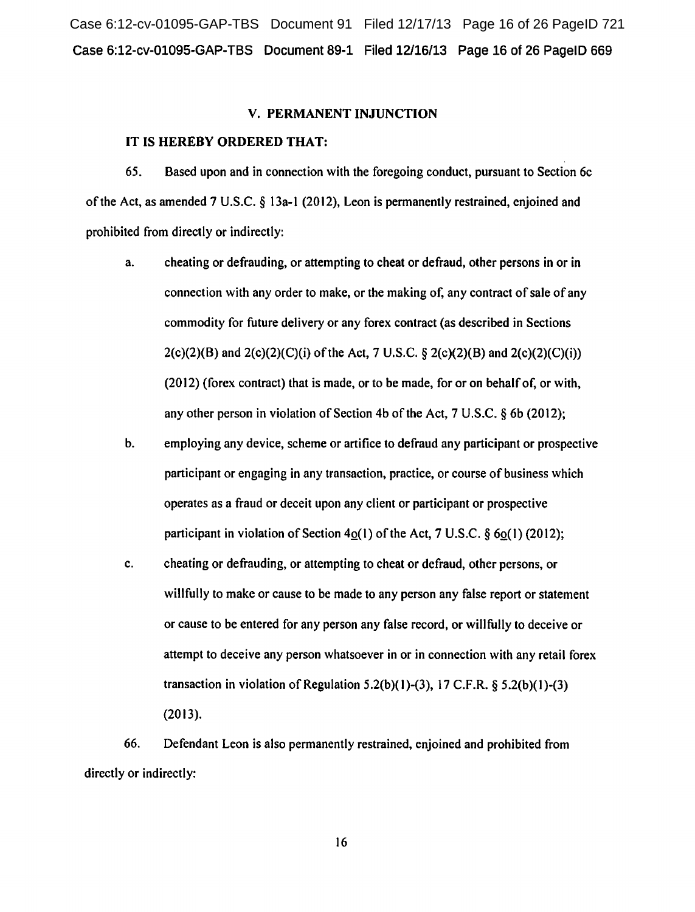Case 6:12-cv-01095-GAP-TBS Document 91 Filed 12/17/13 Page 16 of 26 PageID 721 Case 6:12-cv-01095-GAP-TBS Document 89-1 Filed 12/16/13 Page 16 of 26 PageiD 669

#### V. PERMANENT INJUNCTION

## IT IS HEREBY ORDERED THAT:

65. Based upon and in connection with the foregoing conduct, pursuant to Section 6c ofthe Act, as amended 7 U.S.C. § 13a-l (2012), Leon is permanently restrained, enjoined and prohibited from directly or indirectly:

- a. cheating or defrauding, or attempting to cheat or defraud, other persons in or in connection with any order to make, or the making of, any contract of sale of any commodity for future delivery or any forex contract (as described in Sections  $2(c)(2)(B)$  and  $2(c)(2)(C)(i)$  of the Act, 7 U.S.C. § 2(c)(2)(B) and  $2(c)(2)(C)(i)$ ) (2012) (forex contract) that is made, or to be made, for or on behalf of, or with, any other person in violation of Section 4b of the Act,  $7 \text{ U.S.C.}$  § 6b (2012);
- b. employing any device, scheme or artifice to defraud any participant or prospective participant or engaging in any transaction, practice, or course of business which operates as a fraud or deceit upon any client or participant or prospective participant in violation of Section  $4<sub>Q</sub>(1)$  of the Act, 7 U.S.C. § 6 $<sub>Q</sub>(1)$  (2012);</sub>
- c. cheating or defrauding, or attempting to cheat or defraud, other persons, or willfully to make or cause to be made to any person any false report or statement or cause to be entered for any person any false record, or willfully to deceive or attempt to deceive any person whatsoever in or in connection with any retail forex transaction in violation of Regulation  $5.2(b)(1)-(3)$ , 17 C.F.R. §  $5.2(b)(1)-(3)$ (2013).

66. Defendant Leon is also permanently restrained, enjoined and prohibited from directly or indirectly: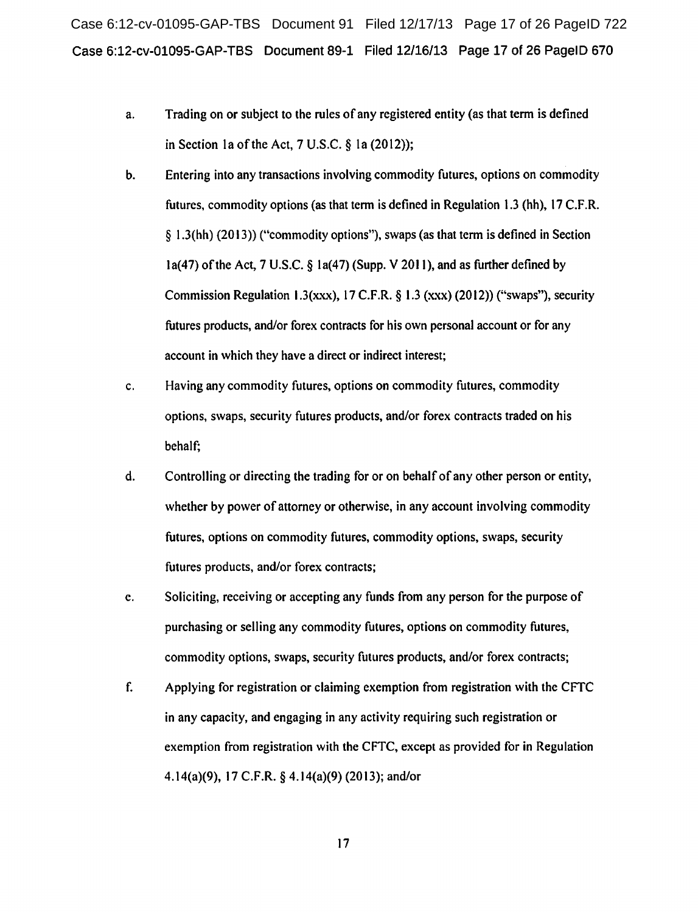Case 6:12-cv-01095-GAP-TBS Document 91 Filed 12/17/13 Page 17 of 26 PageID 722 Case 6:12-cv-01095-GAP-TBS Document 89-1 Filed 12/16/13 Page 17 of 26 PageiD 670

- a. Trading on or subject to the rules of any registered entity (as that term is defined in Section 1a of the Act,  $7 \text{ U.S.C. }$  § 1a (2012));
- b. Entering into any transactions involving commodity futures, options on commodity futures, commodity options (as that term is defined in Regulation 1.3 (hh), 17 C.F.R. § 1.3(hh) (20 13)) ("commodity options"), swaps (as that term is defined in Section la(47) of the Act, 7 U.S.C.  $\delta$  la(47) (Supp. V 2011), and as further defined by Commission Regulation 1.3(xxx), 17 C.F.R. § 1.3 (xxx) (2012)) ("swaps"), security futures products, and/or forex contracts for his own personal account or for any account in which they have a direct or indirect interest;
- c. Having any commodity futures, options on commodity futures, commodity options, swaps, security futures products, and/or forex contracts traded on his behalf;
- d. Controlling or directing the trading for or on behalf of any other person or entity, whether by power of attorney or otherwise, in any account involving commodity futures, options on commodity futures, commodity options, swaps, security futures products, and/or forex contracts;
- e. Soliciting, receiving or accepting any funds from any person for the purpose of purchasing or selling any commodity futures, options on commodity futures, commodity options, swaps, security futures products, and/or forex contracts;
- f. Applying for registration or claiming exemption from registration with the CFTC in any capacity, and engaging in any activity requiring such registration or exemption from registration with the CFTC, except as provided for in Regulation 4.14(a)(9), 17 C.F.R. § 4.14(a)(9) (2013); and/or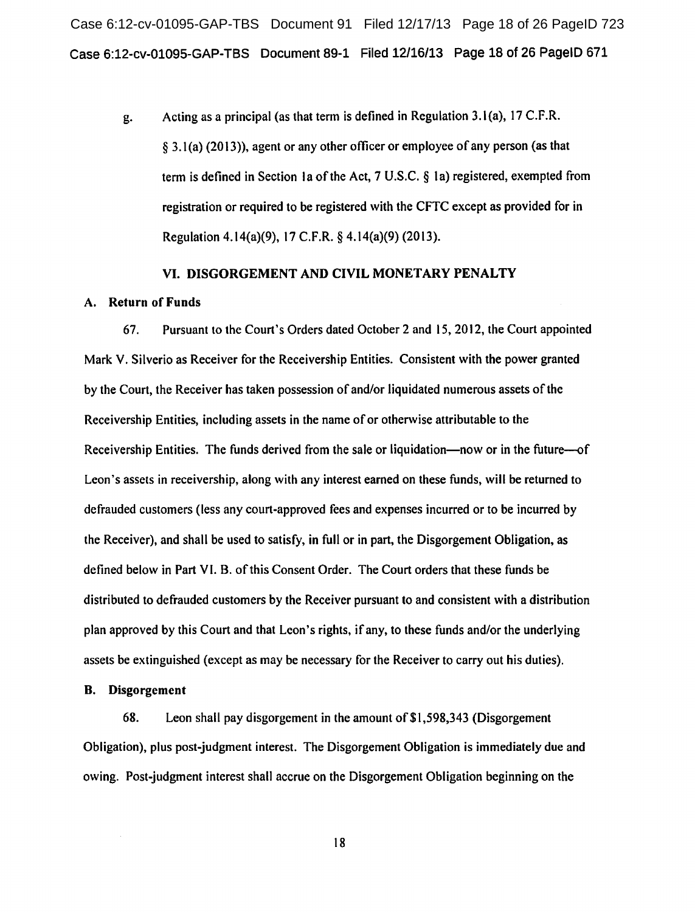Case 6:12-cv-01095-GAP-TBS Document 91 Filed 12/17/13 Page 18 of 26 PageID 723 Case 6:12-cv-01095-GAP-TBS Document 89-1 Filed 12/16/13 Page 18 of 26 PageiD 671

g. Acting as a principal (as that term is defined in Regulation 3.1 (a), 17 C.F.R. § 3.1 (a) (20 13)), agent or any other officer or employee of any person (as that term is defined in Section 1a of the Act,  $7 \text{ U.S.C.}$  § 1a) registered, exempted from registration or required to be registered with the CFTC except as provided for in Regulation 4.14(a)(9), 17 C.F.R. § 4.14(a)(9) (2013).

#### VI. DISGORGEMENT AND CIVIL MONETARY PENALTY

#### A. Return of Funds

67. Pursuant to the Court's Orders dated October 2 and 15,2012, the Court appointed Mark V. Silverio as Receiver for the Receivership Entities. Consistent with the power granted by the Court, the Receiver has taken possession of and/or liquidated numerous assets of the Receivership Entities, including assets in the name of or otherwise attributable to the Receivership Entities. The funds derived from the sale or liquidation—now or in the future--of Leon's assets in receivership, along with any interest earned on these funds, will be returned to defrauded customers (less any court-approved fees and expenses incurred or to be incurred by the Receiver), and shall be used to satisfy, in full or in part, the Disgorgement Obligation, as defined below in Part VI. B. of this Consent Order. The Court orders that these funds be distributed to defrauded customers by the Receiver pursuant to and consistent with a distribution plan approved by this Court and that Leon's rights, if any, to these funds and/or the underlying assets be extinguished (except as may be necessary for the Receiver to carry out his duties).

#### B. Disgorgement

68. Leon shall pay disgorgement in the amount of \$1,598,343 (Disgorgement Obligation), plus post-judgment interest. The Disgorgement Obligation is immediately due and owing. Post-judgment interest shall accrue on the Disgorgement Obligation beginning on the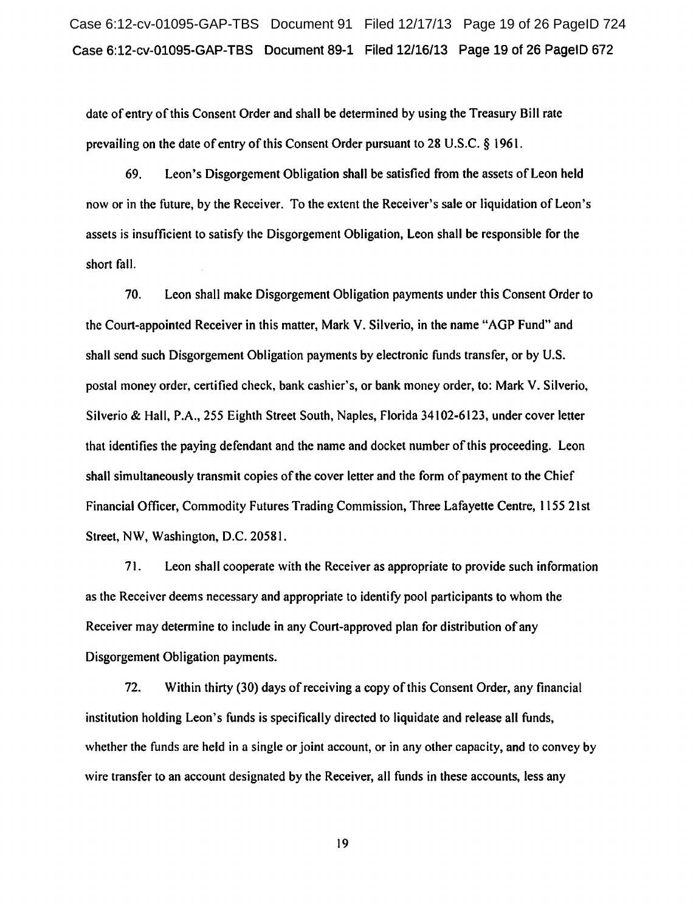Case 6:12-cv-01095-GAP-TBS Document 91 Filed 12/17/13 Page 19 of 26 PageID 724 Case 6:12-cv-01095-GAP-TBS Document 89-1 Filed 12/16/13 Page 19 of 26 PageiD 672

date of entry of this Consent Order and shall be determined by using the Treasury Bill rate prevailing on the date of entry of this Consent Order pursuant to 28 U.S.C. § 1961.

69. Leon's Disgorgement Obligation shall be satisfied from the assets of Leon held now or in the future, by the Receiver. To the extent the Receiver's sale or liquidation of Leon's assets is insufficient to satisfy the Disgorgement Obligation, Leon shall be responsible for the short fall.

70. Leon shall make Disgorgement Obligation payments under this Consent Order to the Court-appointed Receiver in this matter, Mark V. Silverio, in the name "AGP Fund" and shall send such Disgorgement Obligation payments by electronic funds transfer, or by U.S. postal money order, certified check, bank cashier's, or bank money order, to: Mark V. Silverio, Silverio & Hall, P.A., 255 Eighth Street South, Naples, Florida 34102-6123, under cover letter that identifies the paying defendant and the name and docket number of this proceeding. Leon shall simultaneously transmit copies of the cover letter and the form of payment to the Chief Financial Officer, Commodity Futures Trading Commission, Three Lafayette Centre, 1155 21st Street, NW, Washington, D.C. 20581.

71. Leon shall cooperate with the Receiver as appropriate to provide such information as the Receiver deems necessary and appropriate to identify pool participants to whom the Receiver may determine to include in any Court-approved plan for distribution of any Disgorgement Obligation payments.

72. Within thirty (30) days of receiving a copy of this Consent Order, any financial institution holding Leon's funds is specifically directed to liquidate and release all funds, whether the funds are held in a single or joint account, or in any other capacity, and to convey by wire transfer to an account designated by the Receiver, all funds in these accounts, less any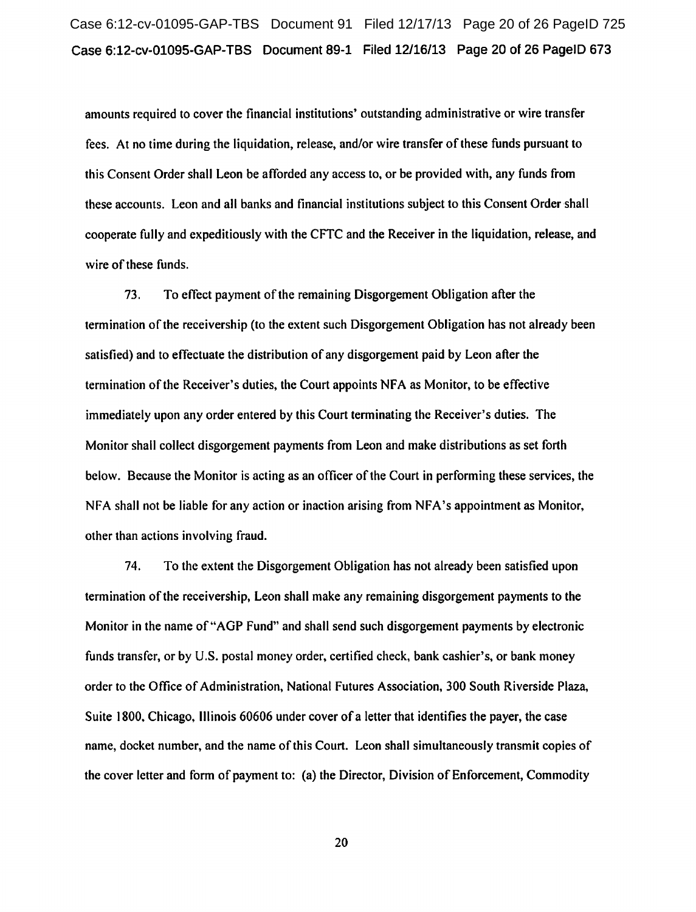amounts required to cover the financial institutions' outstanding administrative or wire transfer fees. At no time during the liquidation, release, and/or wire transfer of these funds pursuant to this Consent Order shall Leon be afforded any access to, or be provided with, any funds from these accounts. Leon and all banks and financial institutions subject to this Consent Order shall cooperate fully and expeditiously with the CFTC and the Receiver in the liquidation, release, and wire of these funds.

73. To effect payment of the remaining Disgorgement Obligation after the termination of the receivership (to the extent such Disgorgement Obligation has not already been satisfied) and to effectuate the distribution of any disgorgement paid by Leon after the termination of the Receiver's duties, the Court appoints NFA as Monitor, to be effective immediately upon any order entered by this Court terminating the Receiver's duties. The Monitor shall collect disgorgement payments from Leon and make distributions as set forth below. Because the Monitor is acting as an officer of the Court in performing these services, the NFA shall not be liable for any action or inaction arising from NFA's appointment as Monitor, other than actions involving fraud.

74. To the extent the Disgorgement Obligation has not already been satisfied upon termination of the receivership, Leon shall make any remaining disgorgement payments to the Monitor in the name of"AGP Fund" and shall send such disgorgement payments by electronic funds transfer, or by U.S. postal money order, certified check, bank cashier's, or bank money order to the Office of Administration, National Futures Association, 300 South Riverside Plaza, Suite 1800. Chicago, Illinois 60606 under cover of a letter that identifies the payer, the case name, docket number, and the name of this Court. Leon shall simultaneously transmit copies of the cover letter and form of payment to: (a) the Director, Division of Enforcement, Commodity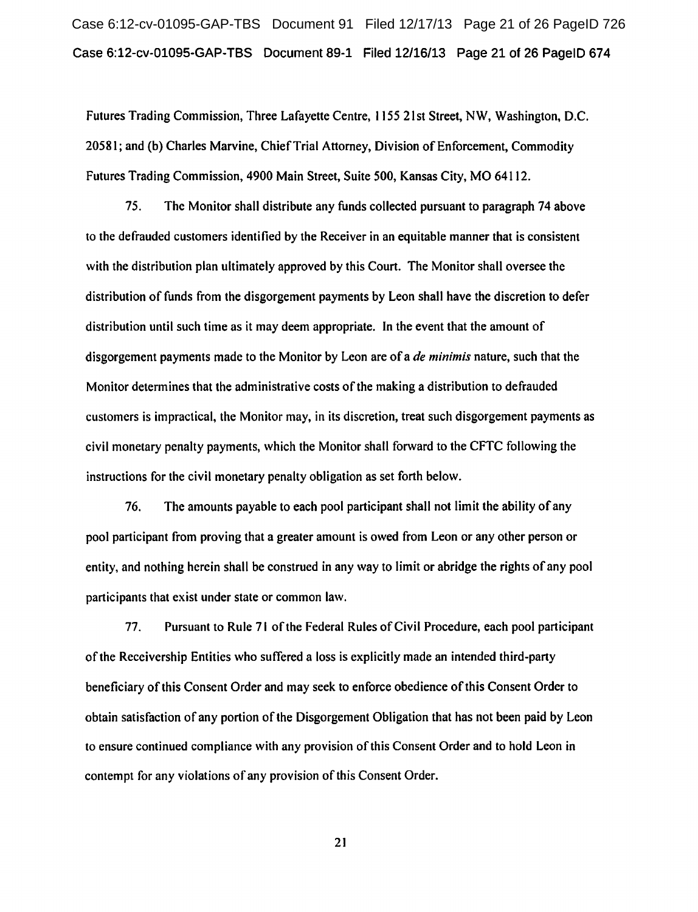Case 6:12-cv-01095-GAP-TBS Document 91 Filed 12/17/13 Page 21 of 26 PageID 726 Case 6:12-cv-01095-GAP-TBS Document 89-1 Filed 12/16/13 Page 21 of 26 PageiD 674

Futures Trading Commission, Three Lafayette Centre, 1155 21st Street, NW, Washington, D.C. 20581; and (b) Charles Marvine, Chief Trial Attorney, Division of Enforcement, Commodity Futures Trading Commission, 4900 Main Street, Suite 500, Kansas City, MO 64112.

75. The Monitor shall distribute any funds collected pursuant to paragraph 74 above to the defrauded customers identified by the Receiver in an equitable manner that is consistent with the distribution plan ultimately approved by this Court. The Monitor shall oversee the distribution of funds from the disgorgement payments by Leon shall have the discretion to defer distribution until such time as it may deem appropriate. In the event that the amount of disgorgement payments made to the Monitor by Leon are of a *de minimis* nature, such that the Monitor determines that the administrative costs of the making a distribution to defrauded customers is impractical, the Monitor may, in its discretion, treat such disgorgement payments as civil monetary penalty payments, which the Monitor shall forward to the CFTC following the instructions for the civil monetary penalty obligation as set forth below.

76. The amounts payable to each pool participant shall not limit the ability of any pool participant from proving that a greater amount is owed from Leon or any other person or entity, and nothing herein shall be construed in any way to limit or abridge the rights of any pool participants that exist under state or common law.

77. Pursuant to Rule 71 ofthe Federal Rules ofCivil Procedure, each pool participant of the Receivership Entities who suffered a loss is explicitly made an intended third-party beneficiary of this Consent Order and may seek to enforce obedience of this Consent Order to obtain satisfaction of any portion of the Disgorgement Obligation that has not been paid by Leon to ensure continued compliance with any provision of this Consent Order and to hold Leon in contempt for any violations of any provision of this Consent Order.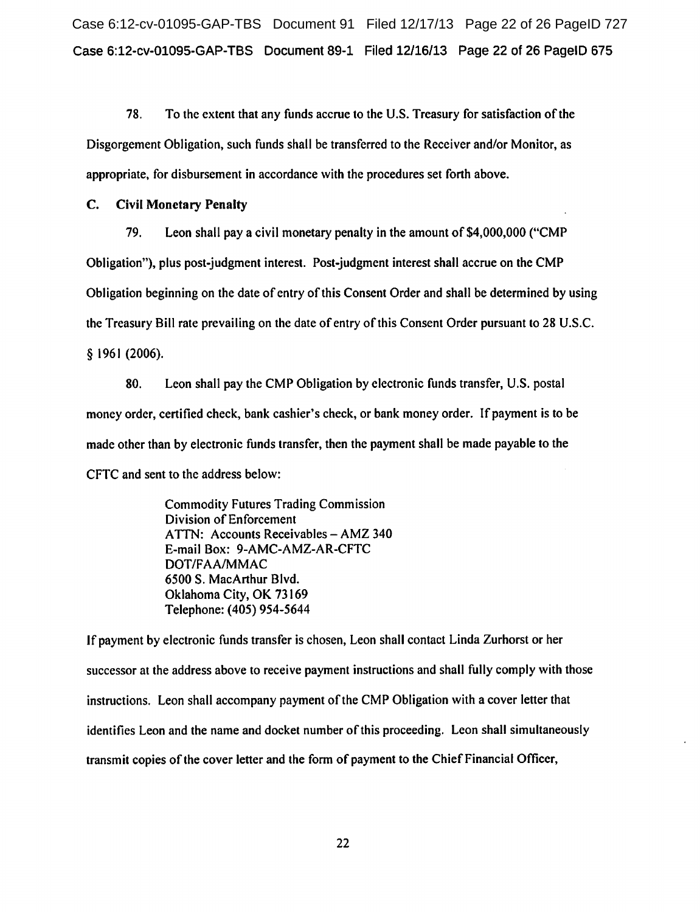Case 6:12-cv-01095-GAP-TBS Document 91 Filed 12/17/13 Page 22 of 26 PageID 727 Case 6:12-cv-01095-GAP-TBS Document 89-1 Filed 12/16/13 Page 22 of 26 PageiD 675

78. To the extent that any funds accrue to the U.S. Treasury for satisfaction of the Disgorgement Obligation, such funds shall be transferred to the Receiver and/or Monitor, as appropriate, for disbursement in accordance with the procedures set forth above.

# C. Civil Monetary Penalty

79. Leon shall pay a civil monetary penalty in the amount of \$4,000,000 ("CMP Obligation"), plus post-judgment interest. Post-judgment interest shall accrue on the CMP Obligation beginning on the date of entry of this Consent Order and shall be determined by using the Treasury Bill rate prevailing on the date of entry of this Consent Order pursuant to 28 U.S.C. § 1961 (2006).

80. Leon shall pay the CMP Obligation by electronic funds transfer, U.S. postal money order, certified check, bank cashier's check, or bank money order. If payment is to be made other than by electronic funds transfer, then the payment shall be made payable to the CFTC and sent to the address below:

> Commodity Futures Trading Commission Division of Enforcement ATTN: Accounts Receivables - AMZ 340 E-mail Box: 9-AMC-AMZ-AR-CFTC DOT/FAA/MMAC 6500 S. MacArthur Blvd. Oklahoma City, OK 73169 Telephone: ( 405) 954-5644

If payment by electronic funds transfer is chosen, Leon shall contact Linda Zurhorst or her successor at the address above to receive payment instructions and shall fully comply with those instructions. Leon shall accompany payment of the CMP Obligation with a cover letter that identifies Leon and the name and docket number of this proceeding. Leon shall simultaneously transmit copies of the cover letter and the form of payment to the Chief Financial Officer,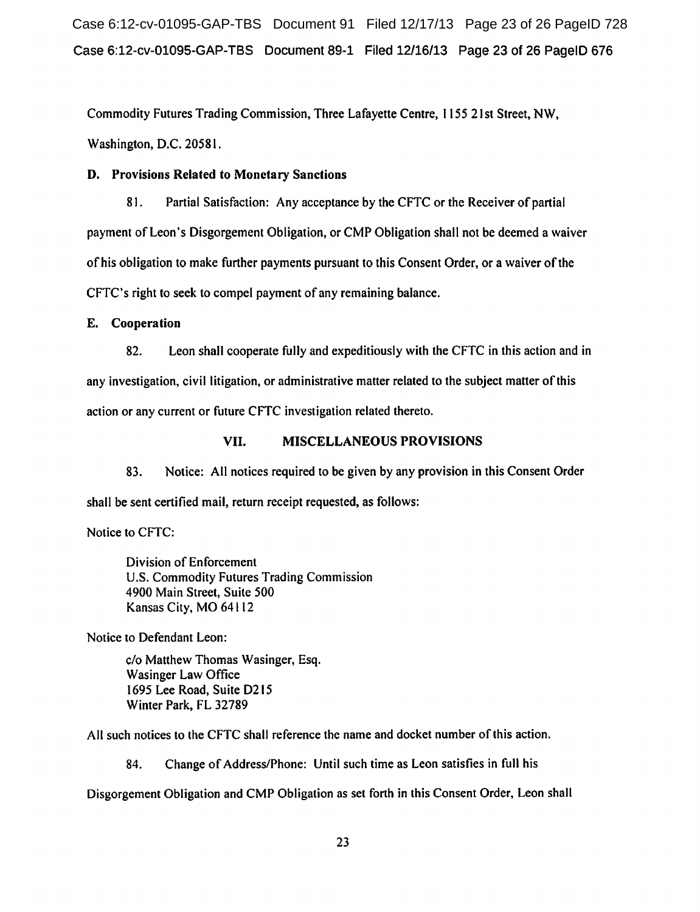Case 6:12-cv-01095-GAP-TBS Document 91 Filed 12/17/13 Page 23 of 26 PageID 728 Case 6:12-cv-01095-GAP-TBS Document 89-1 Filed 12/16/13 Page 23 of 26 PageiD 676

Commodity Futures Trading Commission, Three Lafayette Centre, 1155 21st Street, NW, Washington, D.C. 20581.

# D. Provisions Related to Monetary Sanctions

81. Partial Satisfaction: Any acceptance by the CFTC or the Receiver of partial payment of Leon's Disgorgement Obligation, or CMP Obligation shall not be deemed a waiver of his obligation to make further payments pursuant to this Consent Order, or a waiver of the CFTC's right to seek to compel payment of any remaining balance.

# E. Cooperation

82. Leon shall cooperate fully and expeditiously with the CFTC in this action and in any investigation, civil litigation, or administrative matter related to the subject matter of this action or any current or future CFTC investigation related thereto.

# VII. MISCELLANEOUS PROVISIONS

83. Notice: All notices required to be given by any provision in this Consent Order shall be sent certified mail, return receipt requested, as follows:

Notice to CFTC:

Division of Enforcement U.S. Commodity Futures Trading Commission 4900 Main Street, Suite 500 Kansas City, MO 64112

Notice to Defendant Leon:

c/o Matthew Thomas Wasinger, Esq. Wasinger Law Office 1695 Lee Road, Suite D215 Winter Park, FL 32789

All such notices to the CFTC shall reference the name and docket number of this action.

84. Change of Address/Phone: Until such time as Leon satisfies in full his

Disgorgement Obligation and CMP Obligation as set forth in this Consent Order, Leon shall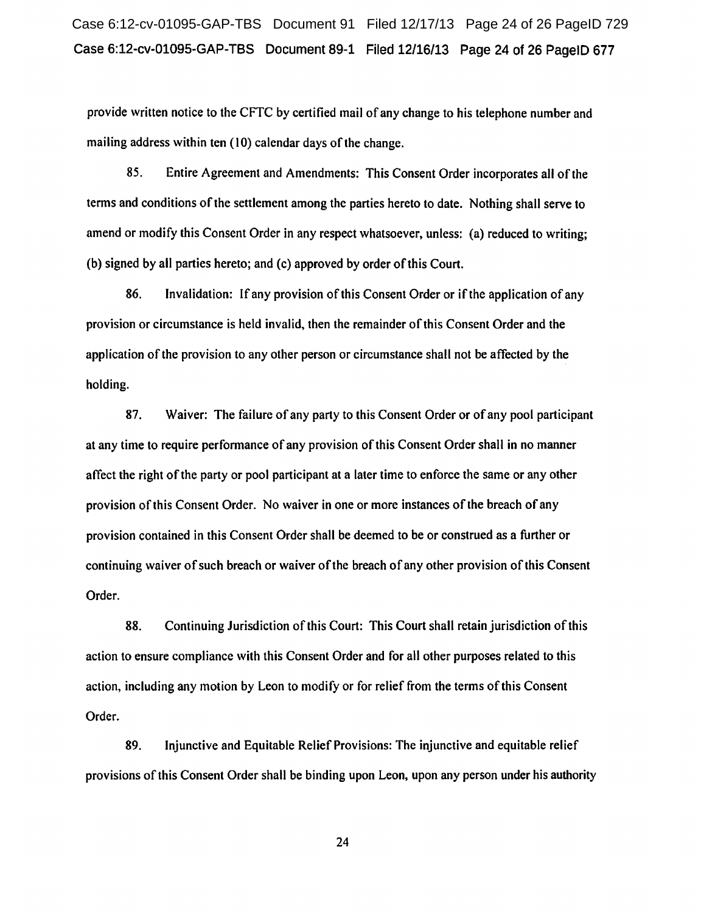Case 6:12-cv-01095-GAP-TBS Document 91 Filed 12/17/13 Page 24 of 26 PageID 729 Case 6:12-cv-01095-GAP-TBS Document 89-1 Filed 12/16/13 Page 24 of 26 PageiD 677

provide written notice to the CFTC by certified mail of any change to his telephone number and mailing address within ten (10) calendar days of the change.

85. Entire Agreement and Amendments: This Consent Order incorporates all of the terms and conditions of the settlement among the parties hereto to date. Nothing shall serve to amend or modify this Consent Order in any respect whatsoever, unless: (a) reduced to writing; (b) signed by all parties hereto; and (c) approved by order of this Court.

86. Invalidation: If any provision of this Consent Order or if the application of any provision or circumstance is held invalid, then the remainder of this Consent Order and the application of the provision to any other person or circumstance shall not be affected by the holding.

87. Waiver: The failure of any party to this Consent Order or of any pool participant at any time to require performance of any provision of this Consent Order shall in no manner affect the right of the party or pool participant at a later time to enforce the same or any other provision ofthis Consent Order. No waiver in one or more instances of the breach of any provision contained in this Consent Order shall be deemed to be or construed as a further or continuing waiver of such breach or waiver ofthe breach of any other provision of this Consent Order.

88. Continuing Jurisdiction of this Court: This Court shall retain jurisdiction of this action to ensure compliance with this Consent Order and for all other purposes related to this action, including any motion by Leon to modify or for relief from the terms of this Consent Order.

89. Injunctive and Equitable Relief Provisions: The injunctive and equitable relief provisions of this Consent Order shall be binding upon Leon, upon any person under his authority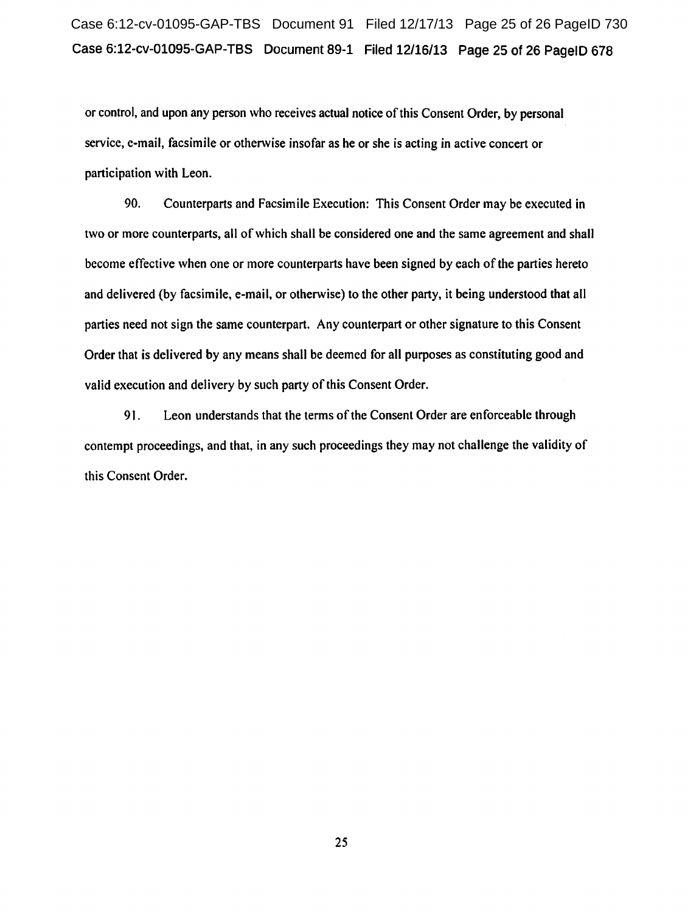# Case 6:12-cv-01095-GAP-TBS Document 91 Filed 12/17/13 Page 25 of 26 PageID 730 Case 6:12-cv-01095-GAP-TBS Document 89-1 Filed 12/16/13 Page 25 of 26 PageiD 678

or control, and upon any person who receives actual notice of this Consent Order, by personal service, e-mail, facsimile or otherwise insofar as he or she is acting in active concert or participation with Leon.

90. Counterparts and Facsimile Execution: This Consent Order may be executed in two or more counterparts, all of which shall be considered one and the same agreement and shall become effective when one or more counterparts have been signed by each of the parties hereto and delivered (by facsimile, e-mail, or otherwise) to the other party, it being understood that all parties need not sign the same counterpart. Any counterpart or other signature to this Consent Order that is delivered by any means shall be deemed for all purposes as constituting good and valid execution and delivery by such party of this Consent Order.

91. Leon understands that the terms of the Consent Order are enforceable through contempt proceedings, and that, in any such proceedings they may not challenge the validity of this Consent Order.